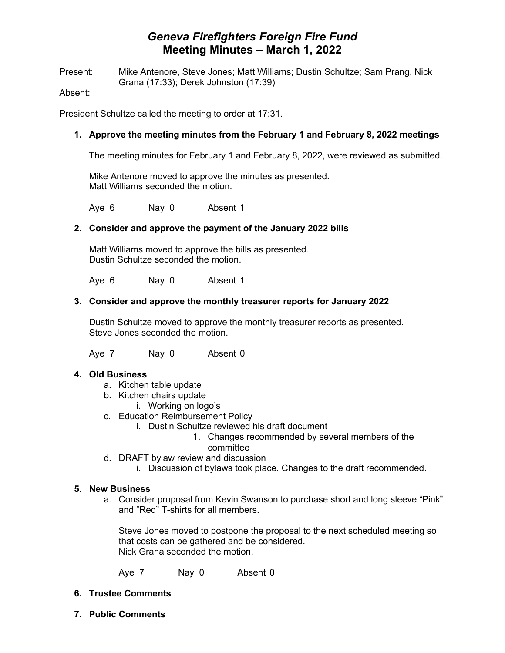# *Geneva Firefighters Foreign Fire Fund* **Meeting Minutes – March 1, 2022**

Present: Mike Antenore, Steve Jones; Matt Williams; Dustin Schultze; Sam Prang, Nick Grana (17:33); Derek Johnston (17:39)

Absent:

President Schultze called the meeting to order at 17:31.

### **1. Approve the meeting minutes from the February 1 and February 8, 2022 meetings**

The meeting minutes for February 1 and February 8, 2022, were reviewed as submitted.

Mike Antenore moved to approve the minutes as presented. Matt Williams seconded the motion.

Aye 6 Nay 0 Absent 1

#### **2. Consider and approve the payment of the January 2022 bills**

Matt Williams moved to approve the bills as presented. Dustin Schultze seconded the motion.

Aye 6 Nay 0 Absent 1

#### **3. Consider and approve the monthly treasurer reports for January 2022**

Dustin Schultze moved to approve the monthly treasurer reports as presented. Steve Jones seconded the motion.

Aye 7 Nay 0 Absent 0

#### **4. Old Business**

- a. Kitchen table update
- b. Kitchen chairs update
	- i. Working on logo's
- c. Education Reimbursement Policy
	- i. Dustin Schultze reviewed his draft document
		- 1. Changes recommended by several members of the
			- committee
- d. DRAFT bylaw review and discussion
	- i. Discussion of bylaws took place. Changes to the draft recommended.

#### **5. New Business**

a. Consider proposal from Kevin Swanson to purchase short and long sleeve "Pink" and "Red" T-shirts for all members.

Steve Jones moved to postpone the proposal to the next scheduled meeting so that costs can be gathered and be considered. Nick Grana seconded the motion.

Aye 7 Nay 0 Absent 0

## **6. Trustee Comments**

**7. Public Comments**